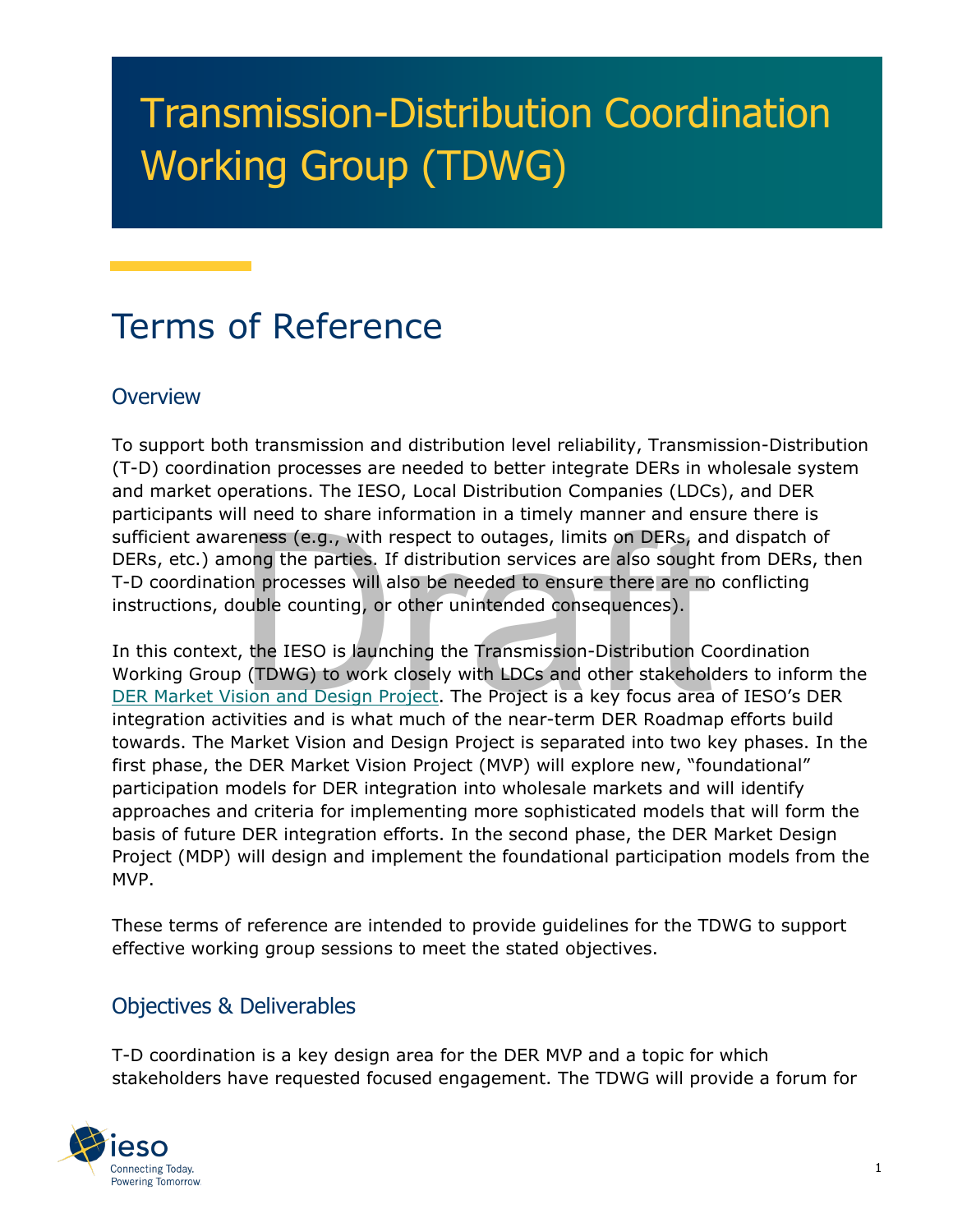# Transmission-Distribution Coordination Working Group (TDWG)

## Terms of Reference

#### **Overview**

To support both transmission and distribution level reliability, Transmission-Distribution (T-D) coordination processes are needed to better integrate DERs in wholesale system and market operations. The IESO, Local Distribution Companies (LDCs), and DER participants will need to share information in a timely manner and ensure there is sufficient awareness (e.g., with respect to outages, limits on DERs, and dispatch of DERs, etc.) among the parties. If distribution services are also sought from DERs, then T-D coordination processes will also be needed to ensure there are no conflicting instructions, double counting, or other unintended consequences).

eness (e.g., with respect to outages, limits on DERs, ar<br>nong the parties. If distribution services are also sought<br>on processes will also be needed to ensure there are no<br>puble counting, or other unintended consequences). In this context, the IESO is launching the Transmission-Distribution Coordination Working Group (TDWG) to work closely with LDCs and other stakeholders to inform the [DER Market Vision and Design Project.](https://www.ieso.ca/en/Sector-Participants/Engagement-Initiatives/Engagements/Distributed-Energy-Resources-Market-Vision-and-Design-Project) The Project is a key focus area of IESO's DER integration activities and is what much of the near-term DER Roadmap efforts build towards. The Market Vision and Design Project is separated into two key phases. In the first phase, the DER Market Vision Project (MVP) will explore new, "foundational" participation models for DER integration into wholesale markets and will identify approaches and criteria for implementing more sophisticated models that will form the basis of future DER integration efforts. In the second phase, the DER Market Design Project (MDP) will design and implement the foundational participation models from the MVP.

These terms of reference are intended to provide guidelines for the TDWG to support effective working group sessions to meet the stated objectives.

#### Objectives & Deliverables

T-D coordination is a key design area for the DER MVP and a topic for which stakeholders have requested focused engagement. The TDWG will provide a forum for

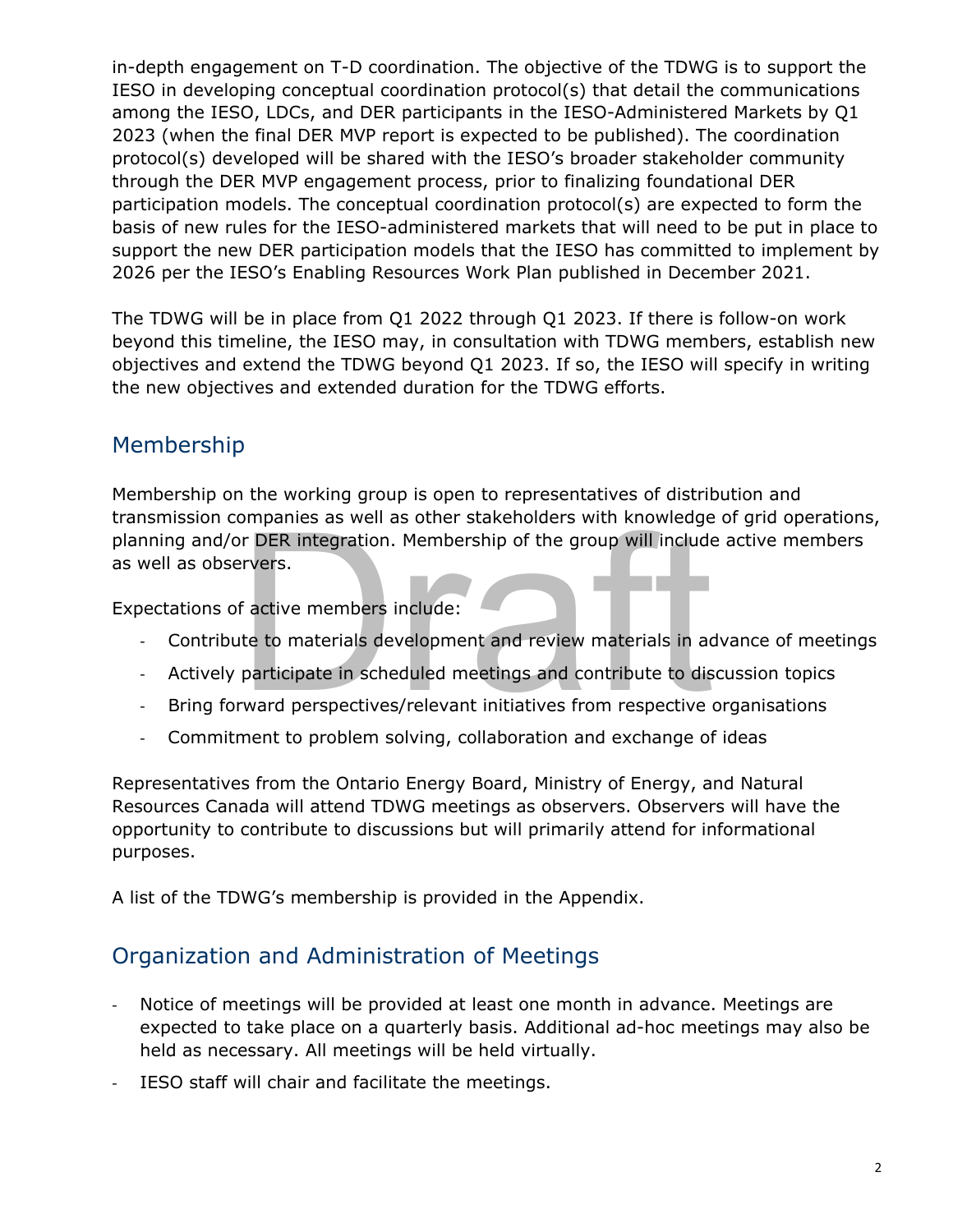in-depth engagement on T-D coordination. The objective of the TDWG is to support the IESO in developing conceptual coordination protocol(s) that detail the communications among the IESO, LDCs, and DER participants in the IESO-Administered Markets by Q1 2023 (when the final DER MVP report is expected to be published). The coordination protocol(s) developed will be shared with the IESO's broader stakeholder community through the DER MVP engagement process, prior to finalizing foundational DER participation models. The conceptual coordination protocol(s) are expected to form the basis of new rules for the IESO-administered markets that will need to be put in place to support the new DER participation models that the IESO has committed to implement by 2026 per the IESO's Enabling Resources Work Plan published in December 2021.

The TDWG will be in place from Q1 2022 through Q1 2023. If there is follow-on work beyond this timeline, the IESO may, in consultation with TDWG members, establish new objectives and extend the TDWG beyond Q1 2023. If so, the IESO will specify in writing the new objectives and extended duration for the TDWG efforts.

#### Membership

FIFIRE integration. Membership of the group will include<br>ervers.<br>f active members include:<br>te to materials development and review materials in ad<br>participate in scheduled meetings and contribute to dis<br>rward perspectives/r Membership on the working group is open to representatives of distribution and transmission companies as well as other stakeholders with knowledge of grid operations, planning and/or DER integration. Membership of the group will include active members as well as observers.

Expectations of active members include:

- Contribute to materials development and review materials in advance of meetings
- Actively participate in scheduled meetings and contribute to discussion topics
- Bring forward perspectives/relevant initiatives from respective organisations
- Commitment to problem solving, collaboration and exchange of ideas

Representatives from the Ontario Energy Board, Ministry of Energy, and Natural Resources Canada will attend TDWG meetings as observers. Observers will have the opportunity to contribute to discussions but will primarily attend for informational purposes.

A list of the TDWG's membership is provided in the Appendix.

#### Organization and Administration of Meetings

- Notice of meetings will be provided at least one month in advance. Meetings are expected to take place on a quarterly basis. Additional ad-hoc meetings may also be held as necessary. All meetings will be held virtually.
- IESO staff will chair and facilitate the meetings.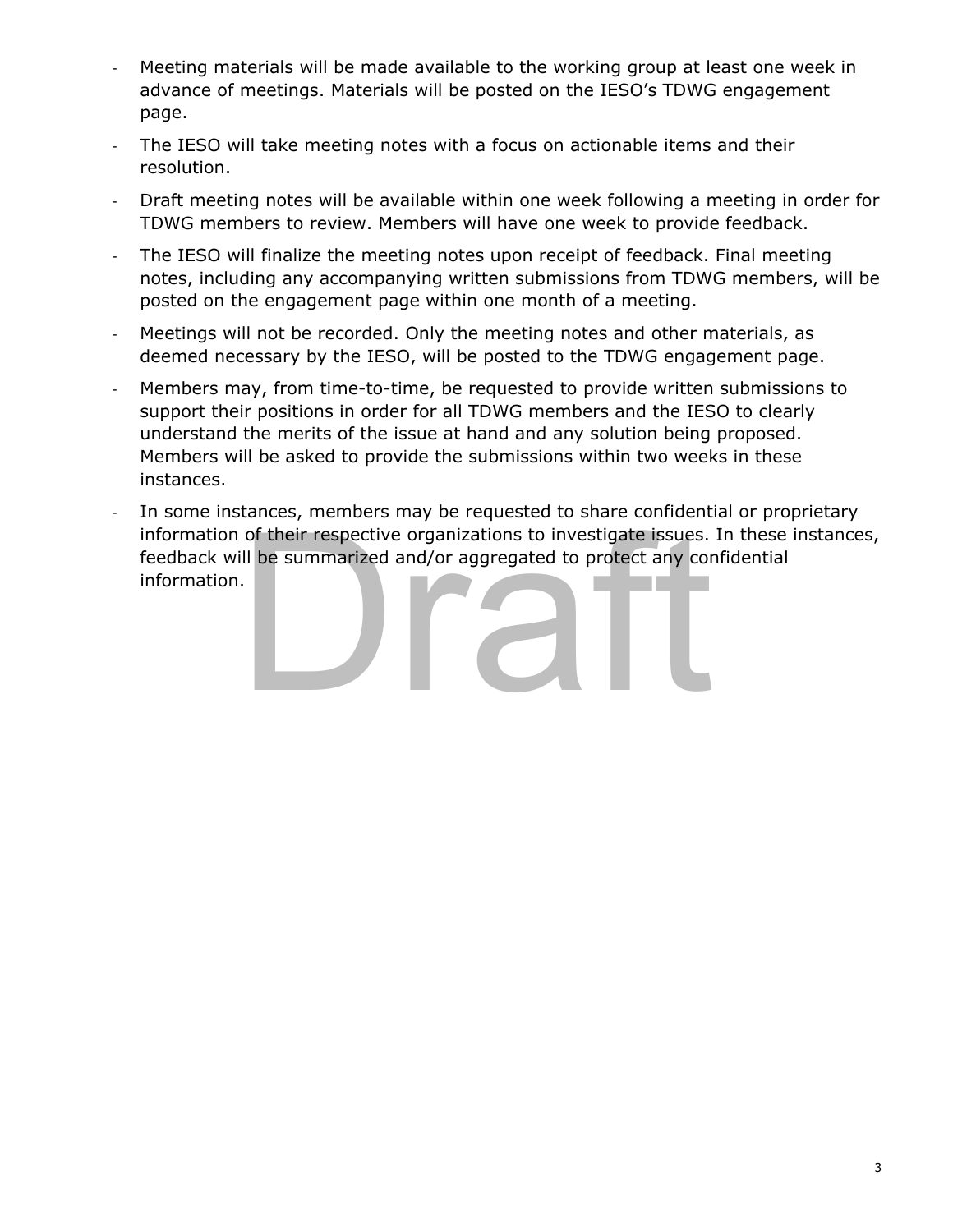- Meeting materials will be made available to the working group at least one week in advance of meetings. Materials will be posted on the IESO's TDWG engagement page.
- The IESO will take meeting notes with a focus on actionable items and their resolution.
- Draft meeting notes will be available within one week following a meeting in order for TDWG members to review. Members will have one week to provide feedback.
- The IESO will finalize the meeting notes upon receipt of feedback. Final meeting notes, including any accompanying written submissions from TDWG members, will be posted on the engagement page within one month of a meeting.
- Meetings will not be recorded. Only the meeting notes and other materials, as deemed necessary by the IESO, will be posted to the TDWG engagement page.
- Members may, from time-to-time, be requested to provide written submissions to support their positions in order for all TDWG members and the IESO to clearly understand the merits of the issue at hand and any solution being proposed. Members will be asked to provide the submissions within two weeks in these instances.
- of their respective organizations to investigate issues.<br>
ill be summarized and/or aggregated to protect any cordinations of the summarized and of a support of the summarized and conditions. - In some instances, members may be requested to share confidential or proprietary information of their respective organizations to investigate issues. In these instances, feedback will be summarized and/or aggregated to protect any confidential information.